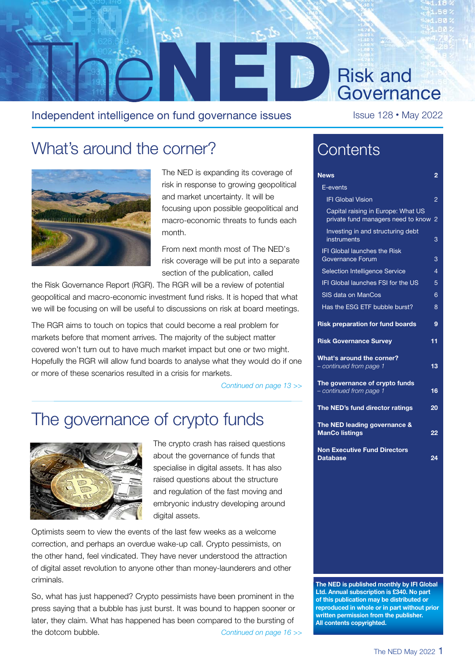

#### Independent intelligence on fund governance issues Issue 128 • May 2022

## What's around the corner?



The NED is expanding its coverage of risk in response to growing geopolitical and market uncertainty. It will be focusing upon possible geopolitical and macro-economic threats to funds each month.

From next month most of The NED's risk coverage will be put into a separate section of the publication, called

the Risk Governance Report (RGR). The RGR will be a review of potential geopolitical and macro-economic investment fund risks. It is hoped that what we will be focusing on will be useful to discussions on risk at board meetings.

The RGR aims to touch on topics that could become a real problem for markets before that moment arrives. The majority of the subject matter covered won't turn out to have much market impact but one or two might. Hopefully the RGR will allow fund boards to analyse what they would do if one or more of these scenarios resulted in a crisis for markets.

*[Continued on page 13 >>](#page--1-0)*

## The governance of crypto funds



The crypto crash has raised questions about the governance of funds that specialise in digital assets. It has also raised questions about the structure and regulation of the fast moving and embryonic industry developing around digital assets.

Optimists seem to view the events of the last few weeks as a welcome correction, and perhaps an overdue wake-up call. Crypto pessimists, on the other hand, feel vindicated. They have never understood the attraction of digital asset revolution to anyone other than money-launderers and other criminals.

So, what has just happened? Crypto pessimists have been prominent in the press saying that a bubble has just burst. It was bound to happen sooner or later, they claim. What has happened has been compared to the bursting of the dotcom bubble. *[Continued on page 16 >>](#page--1-0)*

### **Contents**

| News                                                                     | 2              |  |  |
|--------------------------------------------------------------------------|----------------|--|--|
| E-events                                                                 |                |  |  |
| <b>IFI Global Vision</b>                                                 | $\overline{2}$ |  |  |
| Capital raising in Europe: What US<br>private fund managers need to know | $\overline{c}$ |  |  |
| Investing in and structuring debt<br>instruments                         | 3              |  |  |
| <b>IFI Global launches the Risk</b><br><b>Governance Forum</b>           | 3              |  |  |
| <b>Selection Intelligence Service</b>                                    | 4              |  |  |
| IFI Global launches FSI for the US                                       |                |  |  |
| SIS data on ManCos                                                       | 6              |  |  |
| Has the ESG ETF bubble burst?                                            | 8              |  |  |
| <b>Risk preparation for fund boards</b>                                  | 9              |  |  |
| <b>Risk Governance Survey</b>                                            | 11             |  |  |
| What's around the corner?<br>- continued from page 1                     | 13             |  |  |
| The governance of crypto funds<br>- continued from page 1                | 16             |  |  |
| The NED's fund director ratings                                          | 20             |  |  |
| The NED leading governance &<br><b>ManCo listings</b>                    | 22             |  |  |
| <b>Non Executive Fund Directors</b><br><b>Database</b>                   | 24             |  |  |
|                                                                          |                |  |  |
|                                                                          |                |  |  |
|                                                                          |                |  |  |
|                                                                          |                |  |  |
|                                                                          |                |  |  |
|                                                                          |                |  |  |
|                                                                          |                |  |  |
|                                                                          |                |  |  |

**The NED is published monthly by IFI Global Ltd. Annual subscription is £340. No part of this publication may be distributed or reproduced in whole or in part without prior written permission from the publisher. All contents copyrighted.**